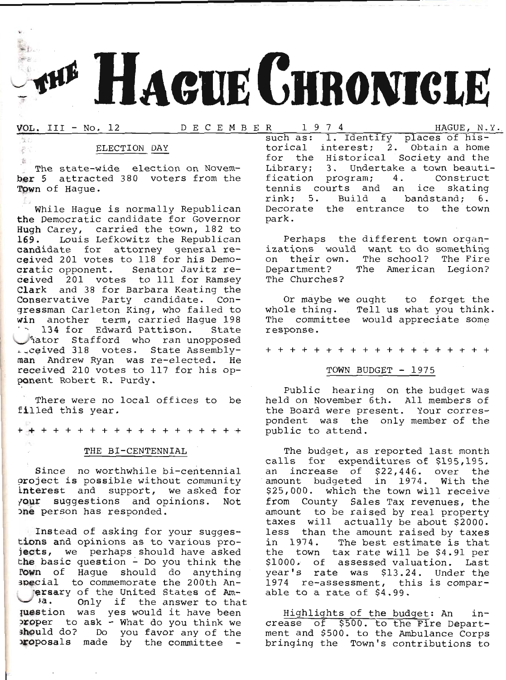# HAGUE CHRONICLE

# VOL. III - No. 12 DECEMBER

 $\frac{1}{2}$ 

 $\vec{c}$ 

HAGUE, N.Y.

# ELECTION DAY

The state-wide election on November 5 attracted 380 voters from the Town of Haque.

While Haque is normally Republican the Democratic candidate for Governor Hugh Carey, carried the town, 182 to 169. Louis Lefkowitz the Republican candidate for attorney general received 201 votes to 118 for his Democratic opponent. Senator Javitz received 201 votes to 111 for Ramsey Clark and 38 for Barbara Keating the Conservative Party candidate. Congressman Carleton King, who failed to win another term, carried Haque 198 134 for Edward Pattison. State vator Stafford who ran unopposed man Andrew Ryan was re-elected. He received 210 votes to 117 for his opponent Robert R. Purdy.

There were no local offices to be filled this year.

# THE BI-CENTENNIAL

Since no worthwhile bi-centennial project is possible without community interest and support, we asked for your suggestions and opinions. Not one person has responded.

Instead of asking for your suggestions and opinions as to various projects, we perhaps should have asked the basic question - Do you think the Fown of Haque should do anything special to commemorate the 200th Anersary of the United States of Amwhen you can be answer to that<br>
was yes would it have been<br>
yoper to ask - What do you think we should do? Do you favor any of the proposals made by the committee -

1974 such as: 1. Identify places of historical interest; 2. Obtain a home for the Historical Society and the Library; 3. Undertake a town beautification program; 4. Construct tennis courts and an ice skating rink; 5. Build a bandstand; 6. Decorate the entrance to the town park.

Perhaps the different town organizations would want to do something on their own. The school? The Fire Department? The American Legion? The Churches?

Or maybe we ought to forget the whole thing. Tell us what you think. The committee would appreciate some response.

+ + + + + + + + + + + + + + + + + +

# TOWN BUDGET - 1975

Public hearing on the budget was held on November 6th. All members of the Board were present. Your correspondent was the only member of the public to attend.

The budget, as reported last month calls for expenditures of \$195,195. an increase of \$22,446. over the amount budgeted in 1974. With the \$25,000. which the town will receive from County Sales Tax revenues, the amount to be raised by real property taxes will actually be about \$2000. less than the amount raised by taxes in 1974. The best estimate is that the town tax rate will be \$4.91 per<br>\$1000. of assessed valuation. Last year's rate was \$13.24. Under the 1974 re-assessment, this is comparable to a rate of \$4.99.

Highlights of the budget: An increase of \$500. to the Fire Department and \$500. to the Ambulance Corps bringing the Town's contributions to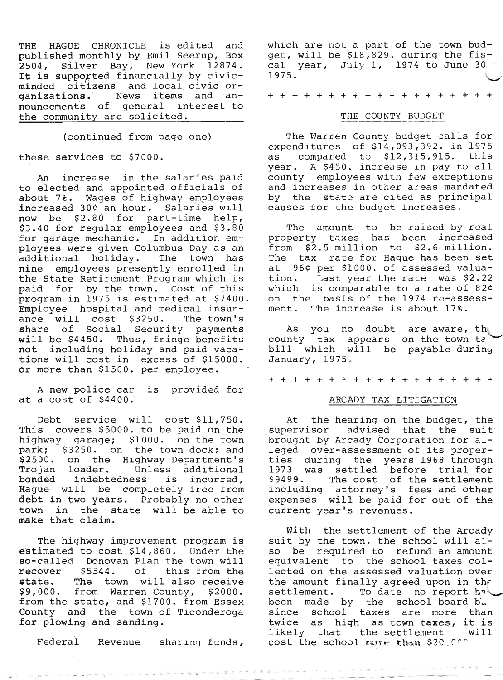THE HAGUE CHRONICLE is edited and published monthly by EmiI Seerup, Box 2504, Silver Bay, New York 12874.<br>It is supported financially by civicminded citizens and local civic organizations. News items and announcements of general interest to the community are solicited.

(continued from page one)

these services to \$7000.

An increase in the salaries paid<br>to elected and appointed officials of<br>about 7%. Wages of highway employees increased 30¢ an hour. Salaries will<br>now be \$2.80 for part-time help, \$3.40 for regular employees and \$3.80 for garage mechanic. In addition employees were given Columbus Day as an additional holiday. The town has nine employees presently enrolled in<br>the State Retirement Program which is paid for by the town. Cost of this<br>program in 1975 is estimated at \$7400. Employee hospital and medical insur-<br>ance will cost \$3250. The town's ance will cost \$3250. share of Social Security payments<br>will be \$4450. Thus, fringe benefits not including holiday and paid vacations will cost in excess of \$15000. or more than \$1500. per employee

A new police car is provided for at a cost of \$4400.

Debt service will cost \$11,750.<br>This covers \$5000. to be paid on the<br>highway garage; \$1000. on the town park;  $$3250$ . on the town dock; and  $$2500$ . on the Highway Department's Trojan loader. Unless additional<br>bonded indebtedness is incurred,<br>Hague will be completely free from debt in two years. Probably no other town in the state will be able to make that claim.

The highway improvement program is estimated to cost \$14,860. Under the so-called Donovan Plan the town will recover \$5544. of this from the<br>state. The town will also receive \$9,000. from Warren County, \$2000.<br>from the state, and \$1700. from Essex<br>County and the town of Ticonderoga<br>for plowing and sanding.

which are not a part of the town budwhich are hot a part of the comm sad cal year, July I, L974 to June 30 L97 5.  $\backslash$ 

+++++ ++++++++++++++

# THE COUNTY BUDGET

The Warren County budget calls for expenditures of  $$14,093,392$ . in 1975<br>as compared to  $$12,315,915$ . this compared to  $$12,315,915$ . this year. A \$450. increase in pay to all county employees with few exceptions and increases in other areas mandated by the state are cited as principal causes for the budget increases.

The amount to be raised by real property taxes has been increased from \$2.5 million to \$2.6 million. The tax rate for Hague has been set at 96¢ per \$1000. of assessed valua-<br>tion. Last year the rate was \$2.22 which is comparable to a rate of  $824$ on the basis of the 1974 re-assessment. The increase is about 178.

As you no doubt are aware, th county tax appears on the town  $te^i$ bill which will be payable during<br>January, 1975.

+++++++++++++++++++

# ARCADY TAX LITIGATION

At the hearing on the budget, the<br>supervisor advised that the suit brought by Arcady Corporation for al-<br>leged over-assessment of its proper-<br>ties during the years 1968 through<br>1973 was settled before trial for<br>\$9499. The cost of the settlement including attorney's fees and other expenses will be paid for out of the current year's revenues.

With the settlement of the Arcady<br>suit by the town, the school will al-<br>so be required to refund an amount<br>equivalent to the school taxes collected on the assessed valuation over the amount finally agreed upon in the<br>settlement. To date no report hat settlement. To date no report habited report to the school board by nty and the town of Ticonderoga<br>
plowing and sanding.<br>
Federal Revenue sharing funds, cost the school more than \$20,000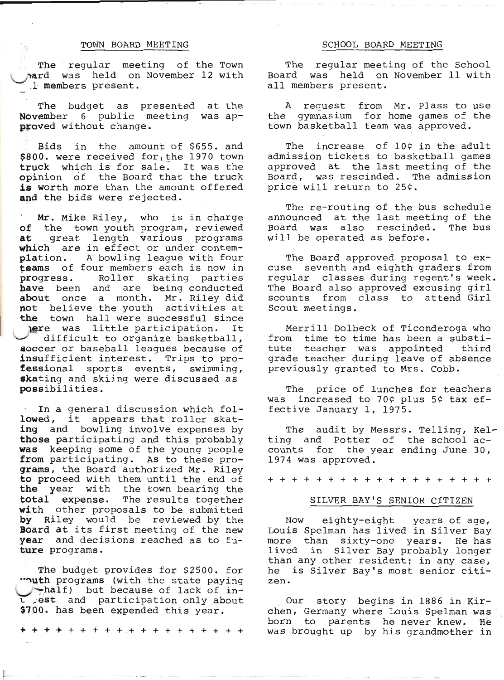# TOWN BOARD MEETING

The regular meeting of the Town hard was held on November 12 with .I members present.

The budget as presented at the **November** 6 public meeting was ap-<br>**proved** without change.

Bids in the amount of \$655. and<br>\$800. were received for, the 1970 town truck which is for sale. It was the<br>opinion of the Board that the truck<br>is worth more than the amount offered and the bids were rejected.

Mr. Mike Riley, who is in charge<br>
of the town youth program, reviewed<br>
at great length various programs<br>
which are in effect or under contem-<br>
plation. A bowling league with four teams of four members each is now in<br>progress. Roller skating parties have been and are being conducted about once a month. Mr. Riley did not believe the youth activities at the town hall were successful since **The Solution Contains Server Server Server Server Server Server Server Server Server Server Server Server Server Server Server Server Server Server Server Server Server Server Server Server Server Server Server Server Ser** 

In a general discussion which fol-<br>lowed, it appears that roller skat-<br>ing and bowling involve expenses by<br>those participating and this probably<br>was keeping some of the young people<br>from participating. As to these pro-<br>gra

The budget provides for \$2500. for "nuth programs (with the state paying 1-, thalf) but because of lack of in-<br>
1. est and participation only about<br>
\$700. has been expended this year.

+++++++++++++++++++

# SCHOOL BOARD MEETING

The regular meeting of the School<br>Board was held on November 11 with<br>all members present.

A request from Mr. Plass to use<br>the gymnasium for home games of the<br>town basketball team was approved.

The increase of 10¢ in the adult<br>admission tickets to basketball games<br>approved at the last meeting of the<br>Board, was rescinded. The admission<br>price will return to 25¢.

The re-routing of the bus schedule announced at the last meeting of the Board was also rescinded. The bus will be operated as before.

The Board approved proposal to ex-<br>cuse seventh and eighth graders from regular classes during regent's week.<br>The Board also approved excusing girl<br>scounts from class to attend Girl<br>Scout meetings.

Merrill Dolbeck of Ticonderoga who<br>from time to time has been a substi-<br>tute teacher was appointed third<br>grade teacher during leave of absence<br>previously granted to Mrs. Cobb.

The price of lunches for teachers was increased to 70¢ plus 5¢ tax ef-<br>fective January 1, 1975.

The audit by Messrs<br>ting and Potter of<br>counts for the year e<br>1974 was approved. . Telling, Kel<br>the school acending June 30, The audit by Messrs. Telling, Kel-

+++++++++++++++++++

# STLVER BAY'S SENIOR CITIZEN

Now eighty-eight years of age, Louis Spelman has lived in Silver Bay more than sixty-one years. He has lived in Silver Bay probably longer than any other resident; in any case, he is Silver Bay's most senior citizen.

Our story begins in 1886 in Kir-<br>chen, Germany where Louis Spelman was<br>born to parents he never knew. He was brought up by his grandmother in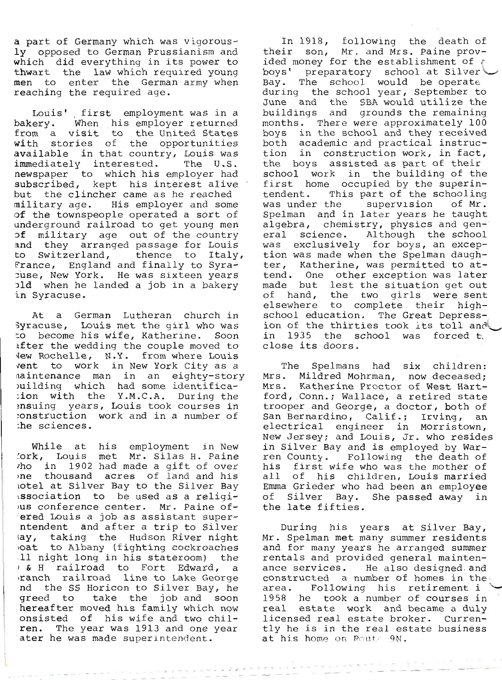a part of Germany which was vigorous-<br>ly opposed to German Prussianism and<br>which did everything in its power to<br>thwart the 1aw which required young<br>men to enter the German army when<br>reaching the required age.

Louis' first employment was in a bakery. When his employer returned from a visit to the United States with stories of the opportunities available in that country, Louis was immediately interested. The U.S. Inductrial Interested. The 0.5.<br>newspaper to which his employer had<br>subscribed, kept his interest alive<br>out the clincher came as he reached<br>nilitary age. His employer and some<br>of the townspeople operated a sort of<br>indergro

At a German Lutheran church in<br>3yracuse, Louis met the girl who was<br>to become his wife, Katherine. Soon<br>after the wedding the couple moved to<br>Vew Rochelle, N.Y. from where Louis<br>vent to work in New York City as a<br>naintenan

While at his employment in New lork, Louis met Mr. Silas tt. paine rho in J-902 had made a gift of over rD€ thousand aeres of land and hi-s rotel at Si-lver Bay to the Silver Bay rssociation to be used as a religiL rus conference center. Mr. paine of- 'ered Louis a job as assistant super- ntendent and after a trip to Siiver tiy, taking the Hudson River night ,oat to Albany (fighting cockroacfies 11 night long in his stateroom) the ) & H railroad to Fort Edward r d ,r&DCh railroad 1ine to Lake George nd the SS Horicon to Silver Bay, tre greed to take the job and soon hereafter moved his family which npw onsisted of his wife and two chil- ren. - The year was 1913 and one year ater he was made superlntenrlent.

In 1918, following the death of<br>their son, Mr. and Mrs. Paine prov-<br>ided money for the establishment of ? boys' preparatory school at Silver<br>Bay. The school would be operate<br>during the school year, September to<br>June and the SBA would utilize the<br>buildings and grounds the remaining<br>months. There were approximately 100<br>boys in t tion was made when the Spelman daugh-<br>ter, Katherine, was permitted to at-<br>tend. One other exception was later<br>made but lest the situation get out<br>of hand, the two girls were sent<br>elsewhere to complete their high-<br>school e

The Spelmans had six children:<br>Mrs. Mildred Mohrman, now deceased;<br>Mrs. Katherine Proctor of West Hart-<br>ford, Conn.; Wallace, a retired state<br>trooper and George, a doctor, both of<br>San Bernardino, Calif.; Irving, an<br>electri all of his children, Louis married<br>Emma Grieder who had been an employee<br>of Silver Bay. She passed away in the late fifties.

During his years at Silver Bay,<br>Mr. Spelman met many summer residents<br>and for many years he arranged summer<br>rentals and provided general mainten-<br>ance services. He also designed and<br>constructed a number of homes in the<br>are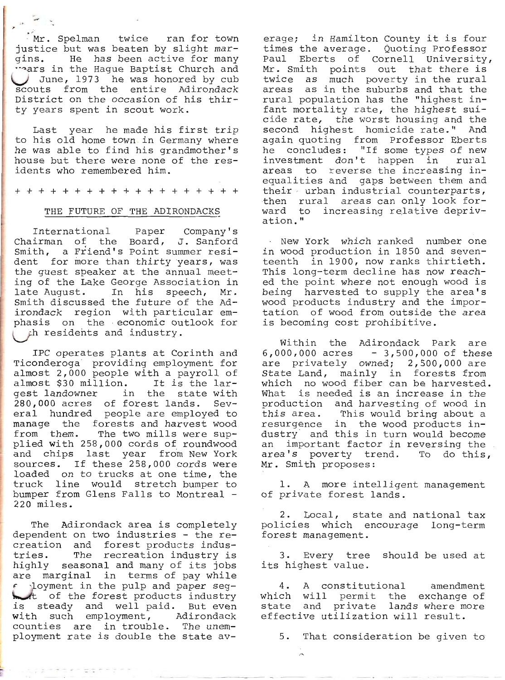$Nr.$  Spelman twice ran for town justice but was beaten by slight margins. He has been active for many<br>"ars in the Hague Baptist Church and June, 1973 he was honored by cub scouts from the entire Adirondack District on the occasion of his thirty years spent in scout work.

 $\overline{\phantom{a}}$ 

Last year he made his first trip to his old home town, in Germany where he was able to find his grandmother's house but there were none of the residents who remembered him.

+++++++++++++++++++

# THE FUTURE OF THE ADIRONDACKS

International Paper CompanY's Chairman of the Board, J. Sanford Smith, a Friend's Point summer resident for more than thirty years, was the guest speaker at the annual meeting of the Lake George Association in late August. In his speech, Mr. Smith discussed the future of the Adirondack region with particular emphasis on the economic outlook for Uh resideirts and industrY.

almost \$30 million. It is the largest landowner in the state with 280,000 acres of forest lands. Several hundred people are employed to manage the forests and harvest wood from them. The two mills were supplied with 258,000 cords of roundwood and chips last year from New York sources. If these 258,000 cords were loaded on to trucks at one time, the truck line would stretch bumper to bumper from Glens Falls to Montreal -220 miIes. IPC operates Plants at Corinth and Ticonderoga providing employment for almost 2,000 people with a payroll of

The Adirondack area is completely dependent on two industries - the recreation and forest products industries. The recreation industry is highly seasonal and many of its jobs are marginal in terms of pay while  $f$  . loyment in the pulp and paper seg-<br>t of the forest products industry is steady and well paid. But even vith such employment, Adirondack counties are in trouble. The unemployment rate is double the state av-

ビアニ 受体 サラブ

erage; in Hamilton County it is four times the average. Quoting Professor Paul Eberts of Cornell University,<br>Mr. Smith points out that there is twice as much poverty in the rural areas as in the suburbs and that the rural population has the "highest infant mortality rate, the highest suicide rate, the worst housing and the second highest homicide rate." And second highest homitine rate. And<br>again quoting from Professor Eberts again quoting from Professor Eberts<br>he concludes: "If some types of new investment don't happen in rural areas to reverse the increasing inequalities and gaps between them and their  $urban$  industrial counterparts, then rural areas can only look forward to increasing relative depriv-<br>ation."

' Nbw York which ranked number one in wood production in 1850 and seventeenth in 1900, now ranks thirtieth. This long-term decline has now reached the point where not enough wood is being harvested to supply the area's wood products industry and the importation of wood from outside the area is becoming cost prohibitive.

Within the Adirondack Park are within the Adirondack Park are<br>6,000,000 acres – 3,500,000 of these<br>are privately owned; 2,500,000 are State Land, mainly in forests from which no wood fiber can be harvested. What is needed is an increase in the production and harvesting of wood in this area. This would bring about a resurgence in the wood products industry' and this in turn would become an important factor in reversing the an Important ractor in reversing the<br>area's poverty trend. To do this, Mr. Smith proposes:

1. A more intelligent manaqement of private forest lands.

2. Local, state and national tax policies which encourage long-term<br>forest\_management.

3. EverY tree should be used at its highest va1ue.

4. A constitutional amendment 4. A constitutional amendment<br>hich will permit the exchange of Initin will permit the exchange of<br>tate and private lands where more tate and private iands where m<br>ffective utilization will result.

5. That consideration be given to